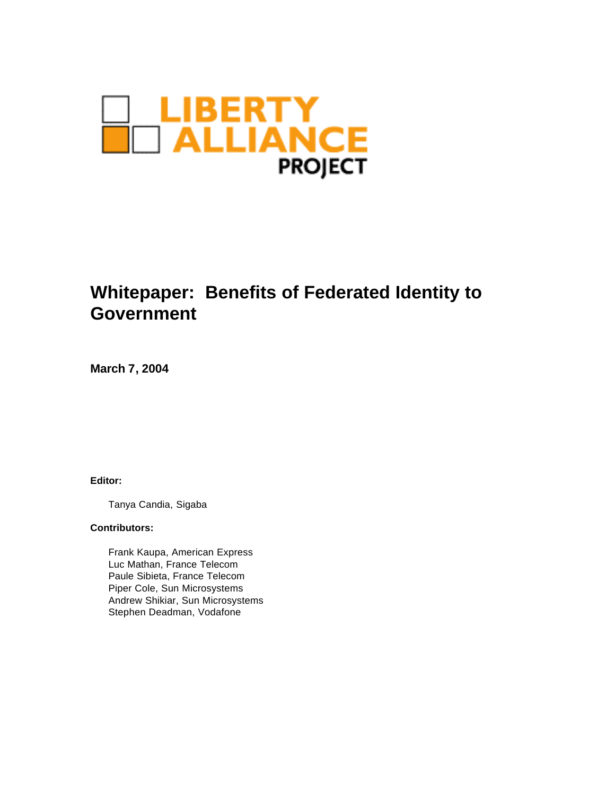

# **Whitepaper: Benefits of Federated Identity to Government**

**March 7, 2004**

**Editor:** 

Tanya Candia, Sigaba

#### **Contributors:**

Frank Kaupa, American Express Luc Mathan, France Telecom Paule Sibieta, France Telecom Piper Cole, Sun Microsystems Andrew Shikiar, Sun Microsystems Stephen Deadman, Vodafone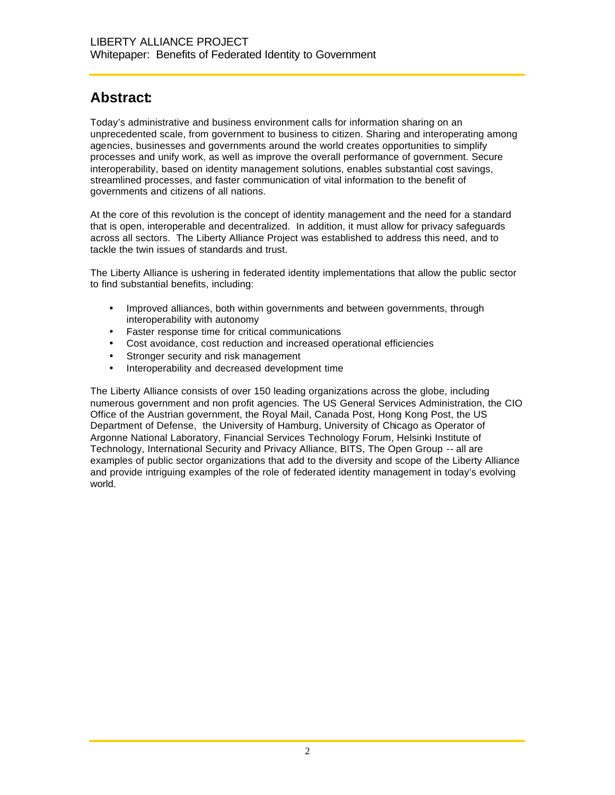### **Abstract:**

Today's administrative and business environment calls for information sharing on an unprecedented scale, from government to business to citizen. Sharing and interoperating among agencies, businesses and governments around the world creates opportunities to simplify processes and unify work, as well as improve the overall performance of government. Secure interoperability, based on identity management solutions, enables substantial cost savings, streamlined processes, and faster communication of vital information to the benefit of governments and citizens of all nations.

At the core of this revolution is the concept of identity management and the need for a standard that is open, interoperable and decentralized. In addition, it must allow for privacy safeguards across all sectors. The Liberty Alliance Project was established to address this need, and to tackle the twin issues of standards and trust.

The Liberty Alliance is ushering in federated identity implementations that allow the public sector to find substantial benefits, including:

- Improved alliances, both within governments and between governments, through interoperability with autonomy
- Faster response time for critical communications
- Cost avoidance, cost reduction and increased operational efficiencies
- Stronger security and risk management
- Interoperability and decreased development time

The Liberty Alliance consists of over 150 leading organizations across the globe, including numerous government and non profit agencies. The US General Services Administration, the CIO Office of the Austrian government, the Royal Mail, Canada Post, Hong Kong Post, the US Department of Defense, the University of Hamburg, University of Chicago as Operator of Argonne National Laboratory, Financial Services Technology Forum, Helsinki Institute of Technology, International Security and Privacy Alliance, BITS, The Open Group -- all are examples of public sector organizations that add to the diversity and scope of the Liberty Alliance and provide intriguing examples of the role of federated identity management in today's evolving world.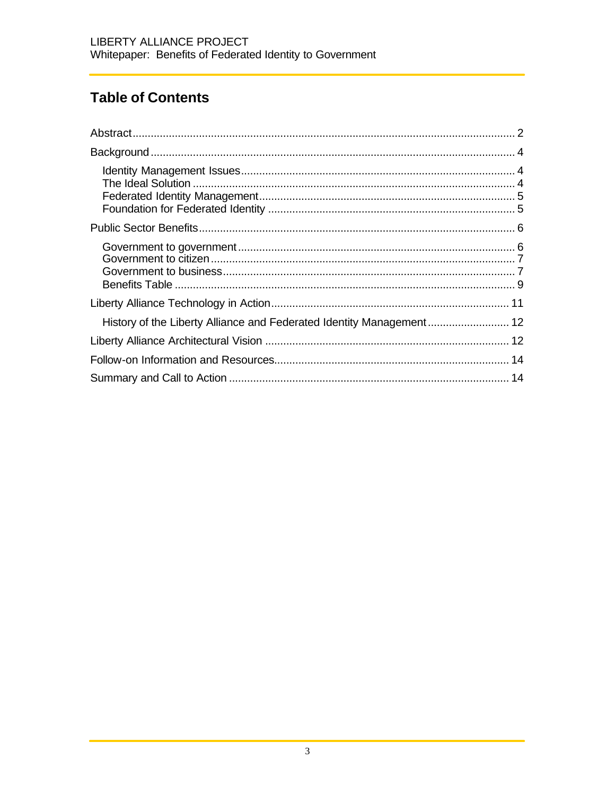# **Table of Contents**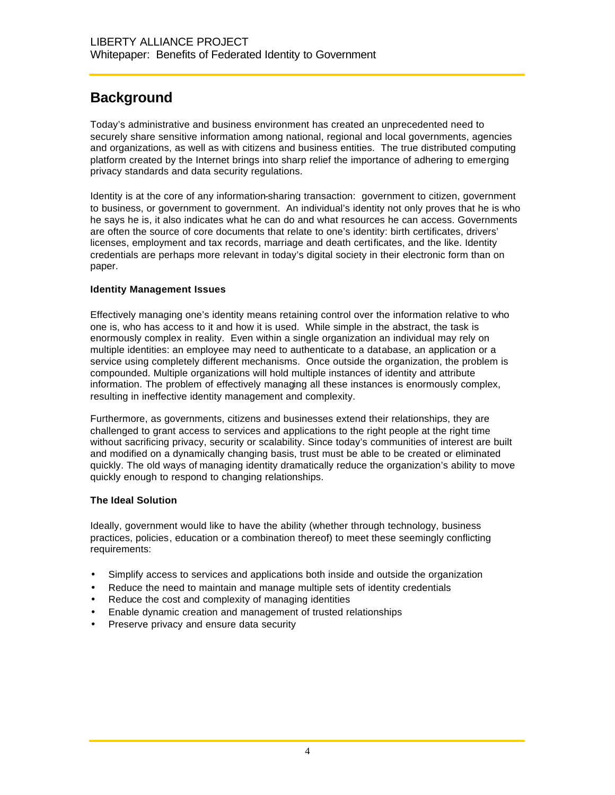## **Background**

Today's administrative and business environment has created an unprecedented need to securely share sensitive information among national, regional and local governments, agencies and organizations, as well as with citizens and business entities. The true distributed computing platform created by the Internet brings into sharp relief the importance of adhering to emerging privacy standards and data security regulations.

Identity is at the core of any information-sharing transaction: government to citizen, government to business, or government to government. An individual's identity not only proves that he is who he says he is, it also indicates what he can do and what resources he can access. Governments are often the source of core documents that relate to one's identity: birth certificates, drivers' licenses, employment and tax records, marriage and death certificates, and the like. Identity credentials are perhaps more relevant in today's digital society in their electronic form than on paper.

### **Identity Management Issues**

Effectively managing one's identity means retaining control over the information relative to who one is, who has access to it and how it is used. While simple in the abstract, the task is enormously complex in reality. Even within a single organization an individual may rely on multiple identities: an employee may need to authenticate to a database, an application or a service using completely different mechanisms. Once outside the organization, the problem is compounded. Multiple organizations will hold multiple instances of identity and attribute information. The problem of effectively managing all these instances is enormously complex, resulting in ineffective identity management and complexity.

Furthermore, as governments, citizens and businesses extend their relationships, they are challenged to grant access to services and applications to the right people at the right time without sacrificing privacy, security or scalability. Since today's communities of interest are built and modified on a dynamically changing basis, trust must be able to be created or eliminated quickly. The old ways of managing identity dramatically reduce the organization's ability to move quickly enough to respond to changing relationships.

#### **The Ideal Solution**

Ideally, government would like to have the ability (whether through technology, business practices, policies, education or a combination thereof) to meet these seemingly conflicting requirements:

- Simplify access to services and applications both inside and outside the organization
- Reduce the need to maintain and manage multiple sets of identity credentials
- Reduce the cost and complexity of managing identities
- Enable dynamic creation and management of trusted relationships
- Preserve privacy and ensure data security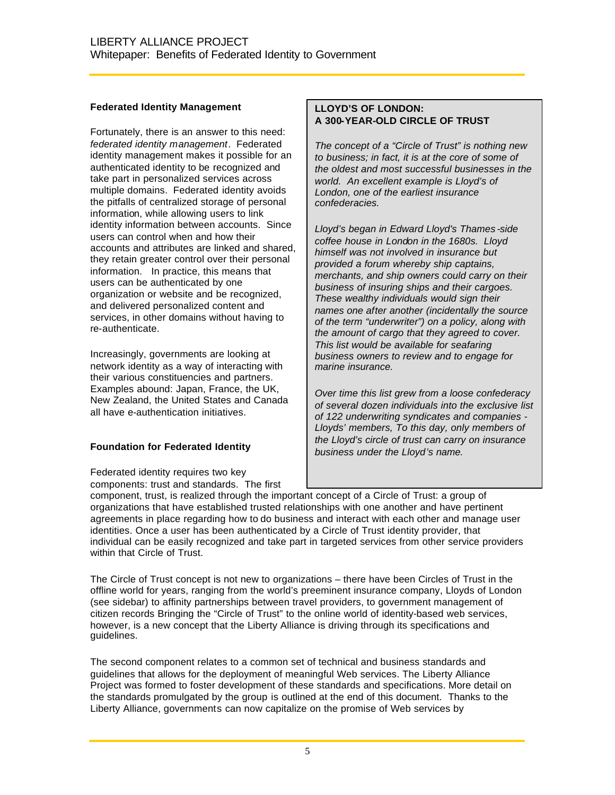#### **Federated Identity Management**

Fortunately, there is an answer to this need: *federated identity management*. Federated identity management makes it possible for an authenticated identity to be recognized and take part in personalized services across multiple domains. Federated identity avoids the pitfalls of centralized storage of personal information, while allowing users to link identity information between accounts. Since users can control when and how their accounts and attributes are linked and shared, they retain greater control over their personal information. In practice, this means that users can be authenticated by one organization or website and be recognized, and delivered personalized content and services, in other domains without having to re-authenticate.

Increasingly, governments are looking at network identity as a way of interacting with their various constituencies and partners. Examples abound: Japan, France, the UK, New Zealand, the United States and Canada all have e-authentication initiatives.

### **Foundation for Federated Identity**

Federated identity requires two key components: trust and standards. The first

#### **LLOYD'S OF LONDON: A 300-YEAR-OLD CIRCLE OF TRUST**

*The concept of a "Circle of Trust" is nothing new to business; in fact, it is at the core of some of the oldest and most successful businesses in the world. An excellent example is Lloyd's of London, one of the earliest insurance confederacies.*

*Lloyd's began in Edward Lloyd's Thames -side coffee house in London in the 1680s. Lloyd himself was not involved in insurance but provided a forum whereby ship captains, merchants, and ship owners could carry on their business of insuring ships and their cargoes. These wealthy individuals would sign their names one after another (incidentally the source of the term "underwriter") on a policy, along with the amount of cargo that they agreed to cover. This list would be available for seafaring business owners to review and to engage for marine insurance.*

*Over time this list grew from a loose confederacy of several dozen individuals into the exclusive list of 122 underwriting syndicates and companies - Lloyds' members, To this day, only members of the Lloyd's circle of trust can carry on insurance business under the Lloyd's name.*

component, trust, is realized through the important concept of a Circle of Trust: a group of organizations that have established trusted relationships with one another and have pertinent agreements in place regarding how to do business and interact with each other and manage user identities. Once a user has been authenticated by a Circle of Trust identity provider, that individual can be easily recognized and take part in targeted services from other service providers within that Circle of Trust.

The Circle of Trust concept is not new to organizations – there have been Circles of Trust in the offline world for years, ranging from the world's preeminent insurance company, Lloyds of London (see sidebar) to affinity partnerships between travel providers, to government management of citizen records Bringing the "Circle of Trust" to the online world of identity-based web services, however, is a new concept that the Liberty Alliance is driving through its specifications and guidelines.

The second component relates to a common set of technical and business standards and guidelines that allows for the deployment of meaningful Web services. The Liberty Alliance Project was formed to foster development of these standards and specifications. More detail on the standards promulgated by the group is outlined at the end of this document. Thanks to the Liberty Alliance, governments can now capitalize on the promise of Web services by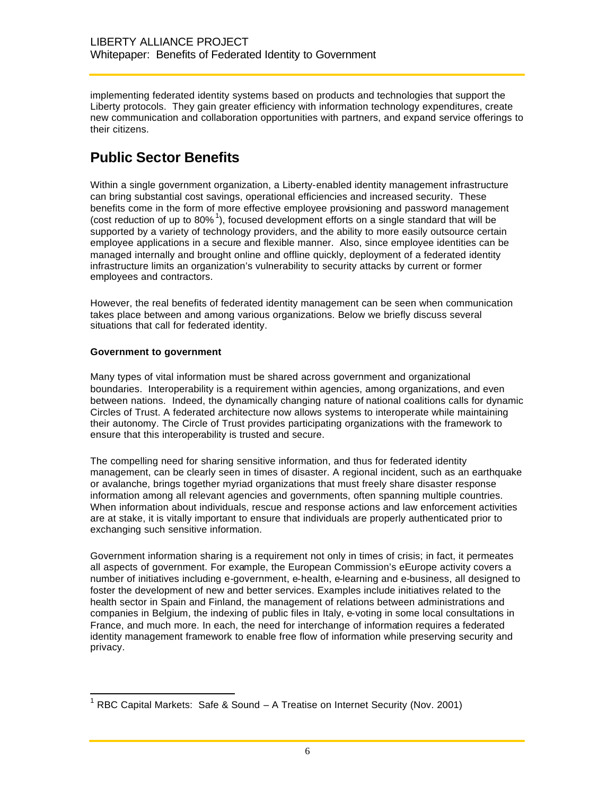implementing federated identity systems based on products and technologies that support the Liberty protocols. They gain greater efficiency with information technology expenditures, create new communication and collaboration opportunities with partners, and expand service offerings to their citizens.

# **Public Sector Benefits**

Within a single government organization, a Liberty-enabled identity management infrastructure can bring substantial cost savings, operational efficiencies and increased security. These benefits come in the form of more effective employee provisioning and password management (cost reduction of up to  $80\%$ <sup>1</sup>), focused development efforts on a single standard that will be supported by a variety of technology providers, and the ability to more easily outsource certain employee applications in a secure and flexible manner. Also, since employee identities can be managed internally and brought online and offline quickly, deployment of a federated identity infrastructure limits an organization's vulnerability to security attacks by current or former employees and contractors.

However, the real benefits of federated identity management can be seen when communication takes place between and among various organizations. Below we briefly discuss several situations that call for federated identity.

#### **Government to government**

Many types of vital information must be shared across government and organizational boundaries. Interoperability is a requirement within agencies, among organizations, and even between nations. Indeed, the dynamically changing nature of national coalitions calls for dynamic Circles of Trust. A federated architecture now allows systems to interoperate while maintaining their autonomy. The Circle of Trust provides participating organizations with the framework to ensure that this interoperability is trusted and secure.

The compelling need for sharing sensitive information, and thus for federated identity management, can be clearly seen in times of disaster. A regional incident, such as an earthquake or avalanche, brings together myriad organizations that must freely share disaster response information among all relevant agencies and governments, often spanning multiple countries. When information about individuals, rescue and response actions and law enforcement activities are at stake, it is vitally important to ensure that individuals are properly authenticated prior to exchanging such sensitive information.

Government information sharing is a requirement not only in times of crisis; in fact, it permeates all aspects of government. For example, the European Commission's eEurope activity covers a number of initiatives including e-government, e-health, e-learning and e-business, all designed to foster the development of new and better services. Examples include initiatives related to the health sector in Spain and Finland, the management of relations between administrations and companies in Belgium, the indexing of public files in Italy, e-voting in some local consultations in France, and much more. In each, the need for interchange of information requires a federated identity management framework to enable free flow of information while preserving security and privacy.

 $\overline{a}$ <sup>1</sup> RBC Capital Markets: Safe & Sound  $-$  A Treatise on Internet Security (Nov. 2001)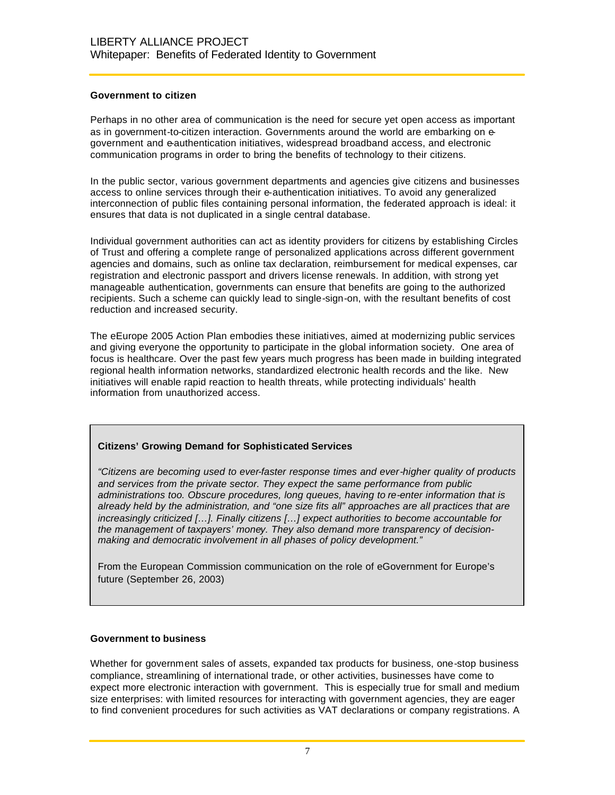#### **Government to citizen**

Perhaps in no other area of communication is the need for secure yet open access as important as in government-to-citizen interaction. Governments around the world are embarking on egovernment and e-authentication initiatives, widespread broadband access, and electronic communication programs in order to bring the benefits of technology to their citizens.

In the public sector, various government departments and agencies give citizens and businesses access to online services through their e-authentication initiatives. To avoid any generalized interconnection of public files containing personal information, the federated approach is ideal: it ensures that data is not duplicated in a single central database.

Individual government authorities can act as identity providers for citizens by establishing Circles of Trust and offering a complete range of personalized applications across different government agencies and domains, such as online tax declaration, reimbursement for medical expenses, car registration and electronic passport and drivers license renewals. In addition, with strong yet manageable authentication, governments can ensure that benefits are going to the authorized recipients. Such a scheme can quickly lead to single-sign-on, with the resultant benefits of cost reduction and increased security.

The eEurope 2005 Action Plan embodies these initiatives, aimed at modernizing public services and giving everyone the opportunity to participate in the global information society. One area of focus is healthcare. Over the past few years much progress has been made in building integrated regional health information networks, standardized electronic health records and the like. New initiatives will enable rapid reaction to health threats, while protecting individuals' health information from unauthorized access.

#### **Citizens' Growing Demand for Sophisticated Services**

*"Citizens are becoming used to ever-faster response times and ever-higher quality of products and services from the private sector. They expect the same performance from public administrations too. Obscure procedures, long queues, having to re-enter information that is already held by the administration, and "one size fits all" approaches are all practices that are increasingly criticized […]. Finally citizens […] expect authorities to become accountable for the management of taxpayers' money. They also demand more transparency of decisionmaking and democratic involvement in all phases of policy development."* 

From the European Commission communication on the role of eGovernment for Europe's future (September 26, 2003)

#### **Government to business**

Whether for government sales of assets, expanded tax products for business, one-stop business compliance, streamlining of international trade, or other activities, businesses have come to expect more electronic interaction with government. This is especially true for small and medium size enterprises: with limited resources for interacting with government agencies, they are eager to find convenient procedures for such activities as VAT declarations or company registrations. A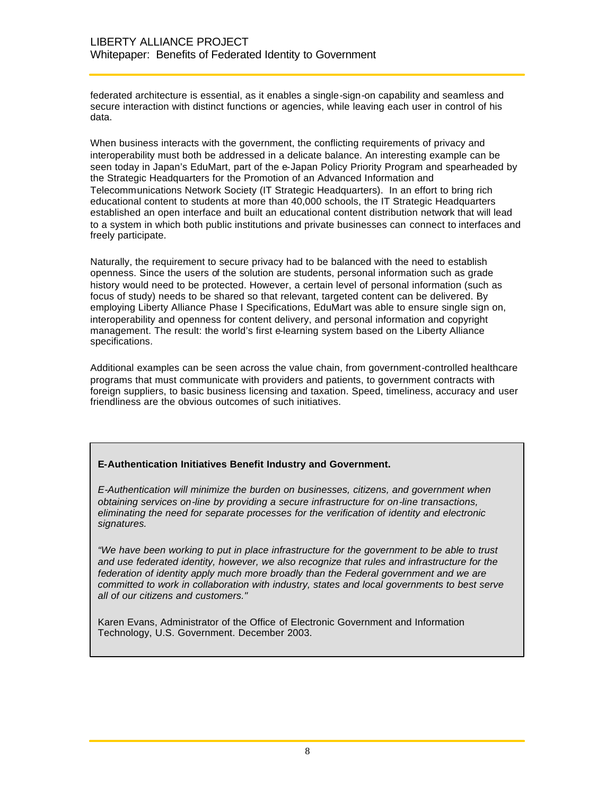federated architecture is essential, as it enables a single-sign-on capability and seamless and secure interaction with distinct functions or agencies, while leaving each user in control of his data.

When business interacts with the government, the conflicting requirements of privacy and interoperability must both be addressed in a delicate balance. An interesting example can be seen today in Japan's EduMart, part of the e-Japan Policy Priority Program and spearheaded by the Strategic Headquarters for the Promotion of an Advanced Information and Telecommunications Network Society (IT Strategic Headquarters). In an effort to bring rich educational content to students at more than 40,000 schools, the IT Strategic Headquarters established an open interface and built an educational content distribution network that will lead to a system in which both public institutions and private businesses can connect to interfaces and freely participate.

Naturally, the requirement to secure privacy had to be balanced with the need to establish openness. Since the users of the solution are students, personal information such as grade history would need to be protected. However, a certain level of personal information (such as focus of study) needs to be shared so that relevant, targeted content can be delivered. By employing Liberty Alliance Phase I Specifications, EduMart was able to ensure single sign on, interoperability and openness for content delivery, and personal information and copyright management. The result: the world's first e-learning system based on the Liberty Alliance specifications.

Additional examples can be seen across the value chain, from government-controlled healthcare programs that must communicate with providers and patients, to government contracts with foreign suppliers, to basic business licensing and taxation. Speed, timeliness, accuracy and user friendliness are the obvious outcomes of such initiatives.

#### **E-Authentication Initiatives Benefit Industry and Government.**

*E-Authentication will minimize the burden on businesses, citizens, and government when obtaining services on-line by providing a secure infrastructure for on-line transactions, eliminating the need for separate processes for the verification of identity and electronic signatures.* 

*"We have been working to put in place infrastructure for the government to be able to trust and use federated identity, however, we also recognize that rules and infrastructure for the*  federation of identity apply much more broadly than the Federal government and we are *committed to work in collaboration with industry, states and local governments to best serve all of our citizens and customers."* 

Karen Evans, Administrator of the Office of Electronic Government and Information Technology, U.S. Government. December 2003.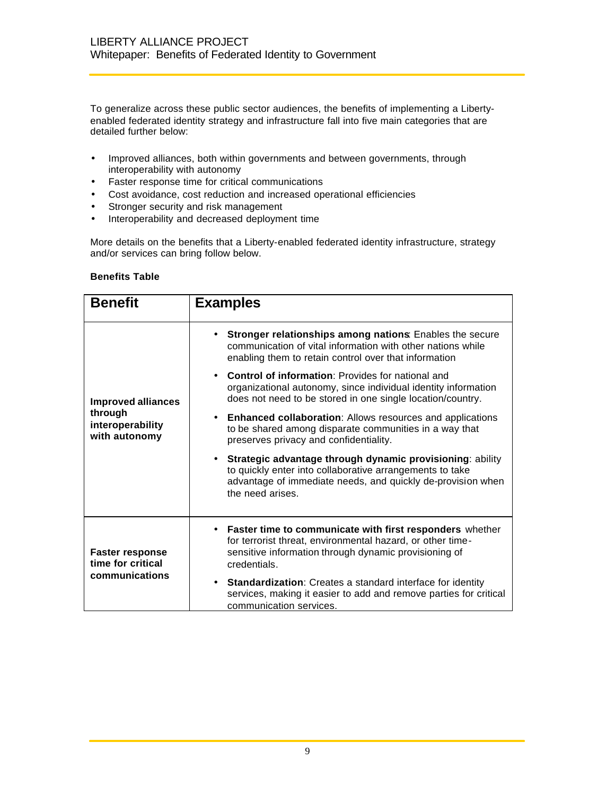To generalize across these public sector audiences, the benefits of implementing a Libertyenabled federated identity strategy and infrastructure fall into five main categories that are detailed further below:

- Improved alliances, both within governments and between governments, through interoperability with autonomy
- Faster response time for critical communications
- Cost avoidance, cost reduction and increased operational efficiencies
- Stronger security and risk management
- Interoperability and decreased deployment time

More details on the benefits that a Liberty-enabled federated identity infrastructure, strategy and/or services can bring follow below.

#### **Benefits Table**

| <b>Benefit</b>                               | <b>Examples</b>                                                                                                                                                                                                       |
|----------------------------------------------|-----------------------------------------------------------------------------------------------------------------------------------------------------------------------------------------------------------------------|
|                                              | Stronger relationships among nations: Enables the secure<br>communication of vital information with other nations while<br>enabling them to retain control over that information                                      |
| <b>Improved alliances</b>                    | • Control of information: Provides for national and<br>organizational autonomy, since individual identity information<br>does not need to be stored in one single location/country.                                   |
| through<br>interoperability<br>with autonomy | <b>Enhanced collaboration:</b> Allows resources and applications<br>to be shared among disparate communities in a way that<br>preserves privacy and confidentiality.                                                  |
|                                              | Strategic advantage through dynamic provisioning: ability<br>$\bullet$<br>to quickly enter into collaborative arrangements to take<br>advantage of immediate needs, and quickly de-provision when<br>the need arises. |
| <b>Faster response</b><br>time for critical  | <b>Faster time to communicate with first responders</b> whether<br>$\bullet$<br>for terrorist threat, environmental hazard, or other time-<br>sensitive information through dynamic provisioning of<br>credentials.   |
| communications                               | Standardization: Creates a standard interface for identity<br>services, making it easier to add and remove parties for critical<br>communication services.                                                            |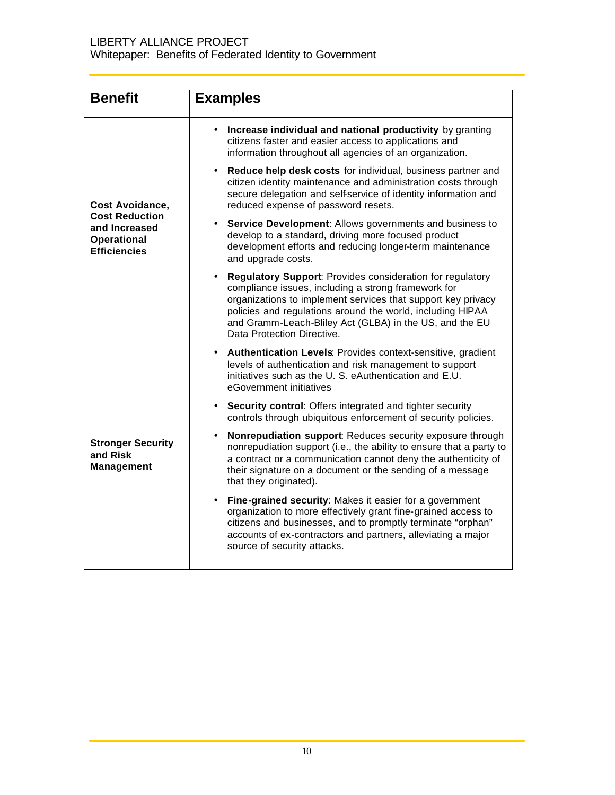| <b>Benefit</b>                                                                      | <b>Examples</b>                                                                                                                                                                                                                                                                                                                                |
|-------------------------------------------------------------------------------------|------------------------------------------------------------------------------------------------------------------------------------------------------------------------------------------------------------------------------------------------------------------------------------------------------------------------------------------------|
|                                                                                     | Increase individual and national productivity by granting<br>citizens faster and easier access to applications and<br>information throughout all agencies of an organization.                                                                                                                                                                  |
| Cost Avoidance,                                                                     | Reduce help desk costs for individual, business partner and<br>citizen identity maintenance and administration costs through<br>secure delegation and self-service of identity information and<br>reduced expense of password resets.                                                                                                          |
| <b>Cost Reduction</b><br>and Increased<br><b>Operational</b><br><b>Efficiencies</b> | Service Development: Allows governments and business to<br>$\bullet$<br>develop to a standard, driving more focused product<br>development efforts and reducing longer-term maintenance<br>and upgrade costs.                                                                                                                                  |
|                                                                                     | <b>Regulatory Support: Provides consideration for regulatory</b><br>compliance issues, including a strong framework for<br>organizations to implement services that support key privacy<br>policies and regulations around the world, including HIPAA<br>and Gramm-Leach-Bliley Act (GLBA) in the US, and the EU<br>Data Protection Directive. |
|                                                                                     | • Authentication Levels: Provides context-sensitive, gradient<br>levels of authentication and risk management to support<br>initiatives such as the U. S. eAuthentication and E.U.<br>eGovernment initiatives                                                                                                                                  |
|                                                                                     | • Security control: Offers integrated and tighter security<br>controls through ubiquitous enforcement of security policies.                                                                                                                                                                                                                    |
| <b>Stronger Security</b><br>and Risk<br><b>Management</b>                           | <b>Nonrepudiation support:</b> Reduces security exposure through<br>nonrepudiation support (i.e., the ability to ensure that a party to<br>a contract or a communication cannot deny the authenticity of<br>their signature on a document or the sending of a message<br>that they originated).                                                |
|                                                                                     | Fine-grained security: Makes it easier for a government<br>organization to more effectively grant fine-grained access to<br>citizens and businesses, and to promptly terminate "orphan"<br>accounts of ex-contractors and partners, alleviating a major<br>source of security attacks.                                                         |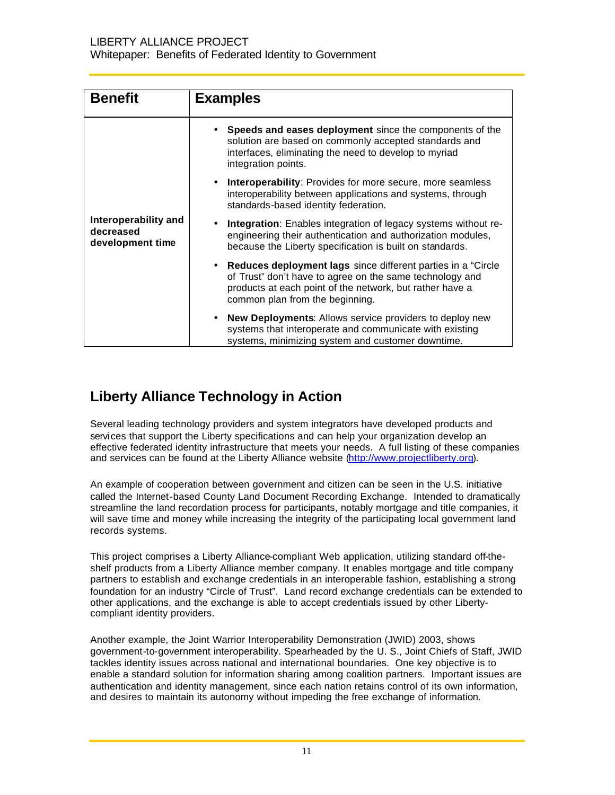| <b>Benefit</b>                                        | <b>Examples</b>                                                                                                                                                                                                            |
|-------------------------------------------------------|----------------------------------------------------------------------------------------------------------------------------------------------------------------------------------------------------------------------------|
|                                                       | • Speeds and eases deployment since the components of the<br>solution are based on commonly accepted standards and<br>interfaces, eliminating the need to develop to myriad<br>integration points.                         |
|                                                       | Interoperability: Provides for more secure, more seamless<br>interoperability between applications and systems, through<br>standards-based identity federation.                                                            |
| Interoperability and<br>decreased<br>development time | Integration: Enables integration of legacy systems without re-<br>engineering their authentication and authorization modules,<br>because the Liberty specification is built on standards.                                  |
|                                                       | • Reduces deployment lags since different parties in a "Circle"<br>of Trust" don't have to agree on the same technology and<br>products at each point of the network, but rather have a<br>common plan from the beginning. |
|                                                       | New Deployments: Allows service providers to deploy new<br>systems that interoperate and communicate with existing<br>systems, minimizing system and customer downtime.                                                    |

## **Liberty Alliance Technology in Action**

Several leading technology providers and system integrators have developed products and services that support the Liberty specifications and can help your organization develop an effective federated identity infrastructure that meets your needs. A full listing of these companies and services can be found at the Liberty Alliance website (http://www.projectliberty.org).

An example of cooperation between government and citizen can be seen in the U.S. initiative called the Internet-based County Land Document Recording Exchange. Intended to dramatically streamline the land recordation process for participants, notably mortgage and title companies, it will save time and money while increasing the integrity of the participating local government land records systems.

This project comprises a Liberty Alliance-compliant Web application, utilizing standard off-theshelf products from a Liberty Alliance member company. It enables mortgage and title company partners to establish and exchange credentials in an interoperable fashion, establishing a strong foundation for an industry "Circle of Trust". Land record exchange credentials can be extended to other applications, and the exchange is able to accept credentials issued by other Libertycompliant identity providers.

Another example, the Joint Warrior Interoperability Demonstration (JWID) 2003, shows government-to-government interoperability. Spearheaded by the U. S., Joint Chiefs of Staff, JWID tackles identity issues across national and international boundaries. One key objective is to enable a standard solution for information sharing among coalition partners. Important issues are authentication and identity management, since each nation retains control of its own information, and desires to maintain its autonomy without impeding the free exchange of information.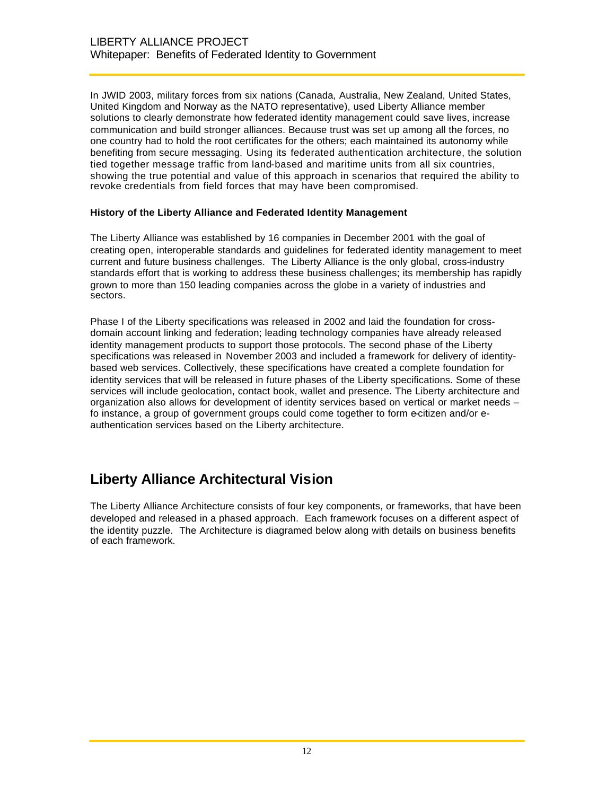In JWID 2003, military forces from six nations (Canada, Australia, New Zealand, United States, United Kingdom and Norway as the NATO representative), used Liberty Alliance member solutions to clearly demonstrate how federated identity management could save lives, increase communication and build stronger alliances. Because trust was set up among all the forces, no one country had to hold the root certificates for the others; each maintained its autonomy while benefiting from secure messaging. Using its federated authentication architecture, the solution tied together message traffic from land-based and maritime units from all six countries, showing the true potential and value of this approach in scenarios that required the ability to revoke credentials from field forces that may have been compromised.

#### **History of the Liberty Alliance and Federated Identity Management**

The Liberty Alliance was established by 16 companies in December 2001 with the goal of creating open, interoperable standards and guidelines for federated identity management to meet current and future business challenges. The Liberty Alliance is the only global, cross-industry standards effort that is working to address these business challenges; its membership has rapidly grown to more than 150 leading companies across the globe in a variety of industries and sectors.

Phase I of the Liberty specifications was released in 2002 and laid the foundation for crossdomain account linking and federation; leading technology companies have already released identity management products to support those protocols. The second phase of the Liberty specifications was released in November 2003 and included a framework for delivery of identitybased web services. Collectively, these specifications have created a complete foundation for identity services that will be released in future phases of the Liberty specifications. Some of these services will include geolocation, contact book, wallet and presence. The Liberty architecture and organization also allows for development of identity services based on vertical or market needs – fo instance, a group of government groups could come together to form e-citizen and/or eauthentication services based on the Liberty architecture.

### **Liberty Alliance Architectural Vision**

The Liberty Alliance Architecture consists of four key components, or frameworks, that have been developed and released in a phased approach. Each framework focuses on a different aspect of the identity puzzle. The Architecture is diagramed below along with details on business benefits of each framework.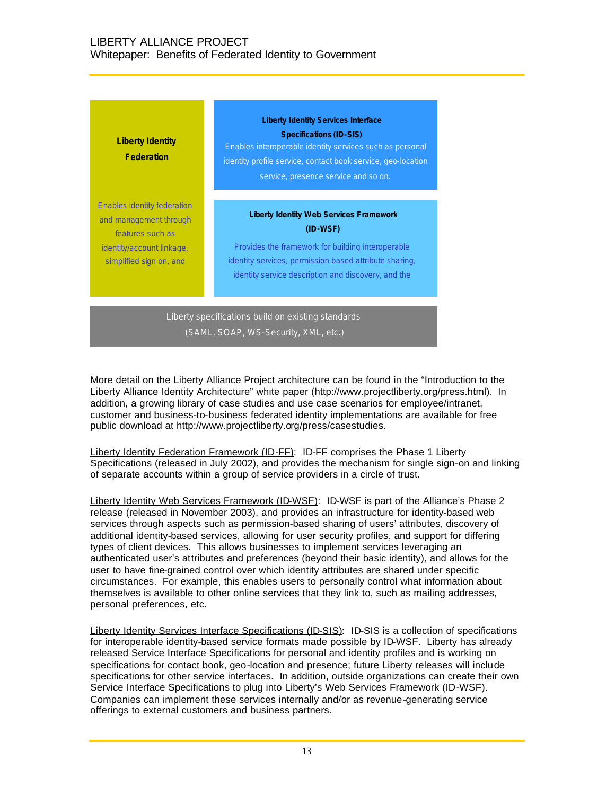### LIBERTY ALLIANCE PROJECT Whitepaper: Benefits of Federated Identity to Government

| Liberty Identity<br><b>Federation</b> | <b>Liberty Identity Services Interface</b><br><b>Specifications (ID-SIS)</b><br>Enables interoperable identity services such as personal<br>identity profile service, contact book service, geo-location<br>service, presence service and so on. |
|---------------------------------------|--------------------------------------------------------------------------------------------------------------------------------------------------------------------------------------------------------------------------------------------------|
| <b>Enables identity federation</b>    | <b>Liberty Identity Web Services Framework</b>                                                                                                                                                                                                   |
| and management through                | $(ID-WSF)$                                                                                                                                                                                                                                       |
| features such as                      | Provides the framework for building interoperable                                                                                                                                                                                                |
| identity/account linkage,             | identity services, permission based attribute sharing,                                                                                                                                                                                           |
| simplified sign on, and               | identity service description and discovery, and the                                                                                                                                                                                              |

More detail on the Liberty Alliance Project architecture can be found in the "Introduction to the Liberty Alliance Identity Architecture" white paper (http://www.projectliberty.org/press.html). In

Liberty specifications build on existing standards (SAML, SOAP, WS-Security, XML, etc.)

addition, a growing library of case studies and use case scenarios for employee/intranet, customer and business-to-business federated identity implementations are available for free public download at http://www.projectliberty.org/press/casestudies.

Liberty Identity Federation Framework (ID-FF): ID-FF comprises the Phase 1 Liberty Specifications (released in July 2002), and provides the mechanism for single sign-on and linking of separate accounts within a group of service providers in a circle of trust.

Liberty Identity Web Services Framework (ID-WSF): ID-WSF is part of the Alliance's Phase 2 release (released in November 2003), and provides an infrastructure for identity-based web services through aspects such as permission-based sharing of users' attributes, discovery of additional identity-based services, allowing for user security profiles, and support for differing types of client devices. This allows businesses to implement services leveraging an authenticated user's attributes and preferences (beyond their basic identity), and allows for the user to have fine-grained control over which identity attributes are shared under specific circumstances. For example, this enables users to personally control what information about themselves is available to other online services that they link to, such as mailing addresses, personal preferences, etc.

Liberty Identity Services Interface Specifications (ID-SIS): ID-SIS is a collection of specifications for interoperable identity-based service formats made possible by ID-WSF. Liberty has already released Service Interface Specifications for personal and identity profiles and is working on specifications for contact book, geo-location and presence; future Liberty releases will include specifications for other service interfaces. In addition, outside organizations can create their own Service Interface Specifications to plug into Liberty's Web Services Framework (ID-WSF). Companies can implement these services internally and/or as revenue-generating service offerings to external customers and business partners.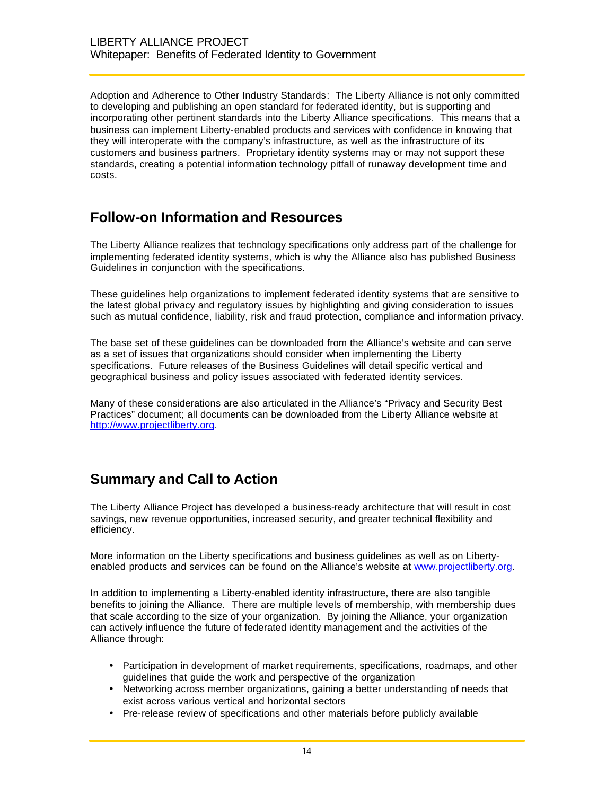Adoption and Adherence to Other Industry Standards: The Liberty Alliance is not only committed to developing and publishing an open standard for federated identity, but is supporting and incorporating other pertinent standards into the Liberty Alliance specifications. This means that a business can implement Liberty-enabled products and services with confidence in knowing that they will interoperate with the company's infrastructure, as well as the infrastructure of its customers and business partners. Proprietary identity systems may or may not support these standards, creating a potential information technology pitfall of runaway development time and costs.

### **Follow-on Information and Resources**

The Liberty Alliance realizes that technology specifications only address part of the challenge for implementing federated identity systems, which is why the Alliance also has published Business Guidelines in conjunction with the specifications.

These guidelines help organizations to implement federated identity systems that are sensitive to the latest global privacy and regulatory issues by highlighting and giving consideration to issues such as mutual confidence, liability, risk and fraud protection, compliance and information privacy.

The base set of these guidelines can be downloaded from the Alliance's website and can serve as a set of issues that organizations should consider when implementing the Liberty specifications. Future releases of the Business Guidelines will detail specific vertical and geographical business and policy issues associated with federated identity services.

Many of these considerations are also articulated in the Alliance's "Privacy and Security Best Practices" document; all documents can be downloaded from the Liberty Alliance website at http://www.projectliberty.org.

## **Summary and Call to Action**

The Liberty Alliance Project has developed a business-ready architecture that will result in cost savings, new revenue opportunities, increased security, and greater technical flexibility and efficiency.

More information on the Liberty specifications and business guidelines as well as on Libertyenabled products and services can be found on the Alliance's website at www.projectliberty.org.

In addition to implementing a Liberty-enabled identity infrastructure, there are also tangible benefits to joining the Alliance. There are multiple levels of membership, with membership dues that scale according to the size of your organization. By joining the Alliance, your organization can actively influence the future of federated identity management and the activities of the Alliance through:

- Participation in development of market requirements, specifications, roadmaps, and other guidelines that guide the work and perspective of the organization
- Networking across member organizations, gaining a better understanding of needs that exist across various vertical and horizontal sectors
- Pre-release review of specifications and other materials before publicly available